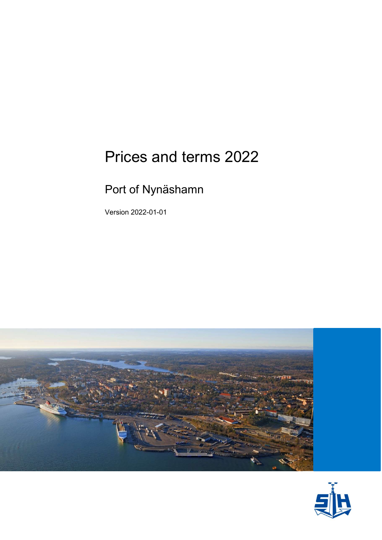# Prices and terms 2022

### Port of Nynäshamn

Version 2022-01-01



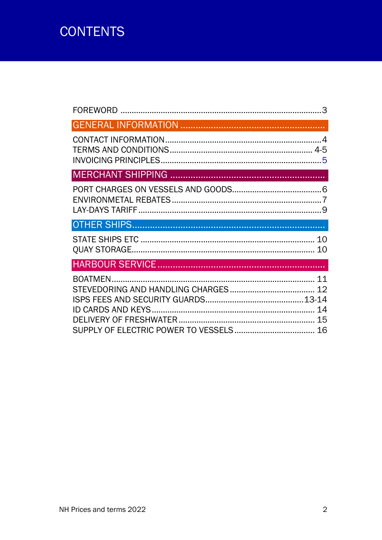## **CONTENTS**

| 10       |
|----------|
|          |
| 12<br>14 |
|          |
|          |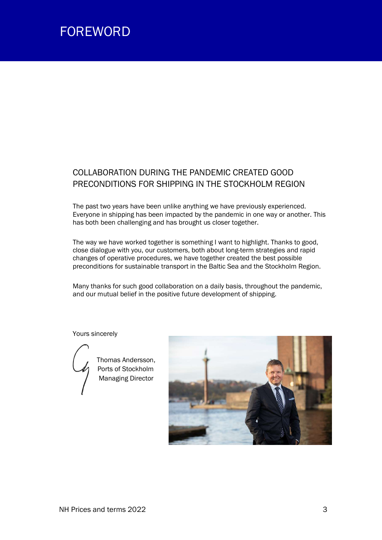

#### COLLABORATION DURING THE PANDEMIC CREATED GOOD PRECONDITIONS FOR SHIPPING IN THE STOCKHOLM REGION

The past two years have been unlike anything we have previously experienced. Everyone in shipping has been impacted by the pandemic in one way or another. This has both been challenging and has brought us closer together.

The way we have worked together is something I want to highlight. Thanks to good, close dialogue with you, our customers, both about long-term strategies and rapid changes of operative procedures, we have together created the best possible preconditions for sustainable transport in the Baltic Sea and the Stockholm Region.

Many thanks for such good collaboration on a daily basis, throughout the pandemic, and our mutual belief in the positive future development of shipping.

Yours sincerely



 Thomas Andersson, Ports of Stockholm **Managing Director** 

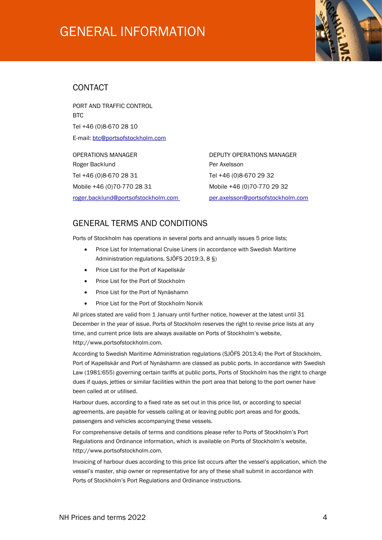### GENERAL INFORMATION



#### **CONTACT**

PORT AND TRAFFIC CONTROL **BTC** Tel +46 (0)8-670 28 10 E-mail: btc@portsofstockholm.com

OPERATIONS MANAGER DEPUTY OPERATIONS MANAGER Roger Backlund **Per Axelsson** Tel +46 (0)8-670 28 31 Tel +46 (0)8-670 29 32 Mobile +46 (0)70-770 28 31 Mobile +46 (0)70-770 29 32 roger.backlund@portsofstockholm.com per.axelsson@portsofstockholm.com

#### GENERAL TERMS AND CONDITIONS

Ports of Stockholm has operations in several ports and annually issues 5 price lists;

- Price List for International Cruise Liners (in accordance with Swedish Maritime Administration regulations, SJÖFS 2019:3, 8 §)
- Price List for the Port of Kapellskär
- Price List for the Port of Stockholm
- Price List for the Port of Nynäshamn
- Price List for the Port of Stockholm Norvik

All prices stated are valid from 1 January until further notice, however at the latest until 31 December in the year of issue. Ports of Stockholm reserves the right to revise price lists at any time, and current price lists are always available on Ports of Stockholm's website, http://www.portsofstockholm.com.

According to Swedish Maritime Administration regulations (SJÖFS 2013:4) the Port of Stockholm, Port of Kapellskär and Port of Nynäshamn are classed as public ports. In accordance with Swedish Law (1981:655) governing certain tariffs at public ports, Ports of Stockholm has the right to charge dues if quays, jetties or similar facilities within the port area that belong to the port owner have been called at or utilised.

Harbour dues, according to a fixed rate as set out in this price list, or according to special agreements, are payable for vessels calling at or leaving public port areas and for goods, passengers and vehicles accompanying these vessels.

For comprehensive details of terms and conditions please refer to Ports of Stockholm's Port Regulations and Ordinance information, which is available on Ports of Stockholm's website, http://www.portsofstockholm.com.

Invoicing of harbour dues according to this price list occurs after the vessel's application, which the vessel's master, ship owner or representative for any of these shall submit in accordance with Ports of Stockholm's Port Regulations and Ordinance instructions.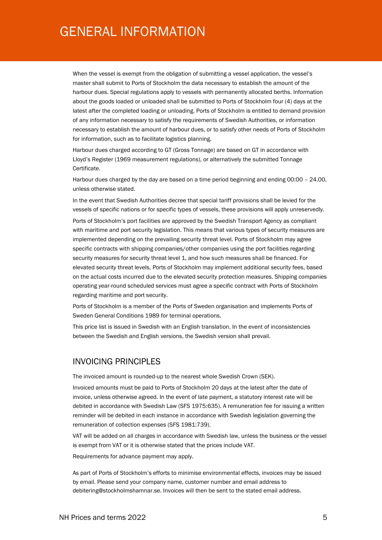### GENERAL INFORMATION

When the vessel is exempt from the obligation of submitting a vessel application, the vessel's master shall submit to Ports of Stockholm the data necessary to establish the amount of the harbour dues. Special regulations apply to vessels with permanently allocated berths. Information about the goods loaded or unloaded shall be submitted to Ports of Stockholm four (4) days at the latest after the completed loading or unloading. Ports of Stockholm is entitled to demand provision of any information necessary to satisfy the requirements of Swedish Authorities, or information necessary to establish the amount of harbour dues, or to satisfy other needs of Ports of Stockholm for information, such as to facilitate logistics planning.

Harbour dues charged according to GT (Gross Tonnage) are based on GT in accordance with Lloyd's Register (1969 measurement regulations), or alternatively the submitted Tonnage Certificate.

Harbour dues charged by the day are based on a time period beginning and ending 00:00 – 24.00, unless otherwise stated.

In the event that Swedish Authorities decree that special tariff provisions shall be levied for the vessels of specific nations or for specific types of vessels, these provisions will apply unreservedly.

Ports of Stockholm's port facilities are approved by the Swedish Transport Agency as compliant with maritime and port security legislation. This means that various types of security measures are implemented depending on the prevailing security threat level. Ports of Stockholm may agree specific contracts with shipping companies/other companies using the port facilities regarding security measures for security threat level 1, and how such measures shall be financed. For elevated security threat levels, Ports of Stockholm may implement additional security fees, based on the actual costs incurred due to the elevated security protection measures. Shipping companies operating year-round scheduled services must agree a specific contract with Ports of Stockholm regarding maritime and port security.

Ports of Stockholm is a member of the Ports of Sweden organisation and implements Ports of Sweden General Conditions 1989 for terminal operations.

This price list is issued in Swedish with an English translation. In the event of inconsistencies between the Swedish and English versions, the Swedish version shall prevail.

#### INVOICING PRINCIPLES

The invoiced amount is rounded-up to the nearest whole Swedish Crown (SEK).

Invoiced amounts must be paid to Ports of Stockholm 20 days at the latest after the date of invoice, unless otherwise agreed. In the event of late payment, a statutory interest rate will be debited in accordance with Swedish Law (SFS 1975:635). A remuneration fee for issuing a written reminder will be debited in each instance in accordance with Swedish legislation governing the remuneration of collection expenses (SFS 1981:739).

VAT will be added on all charges in accordance with Swedish law, unless the business or the vessel is exempt from VAT or it is otherwise stated that the prices include VAT.

Requirements for advance payment may apply.

As part of Ports of Stockholm's efforts to minimise environmental effects, invoices may be issued by email. Please send your company name, customer number and email address to debitering@stockholmshamnar.se. Invoices will then be sent to the stated email address.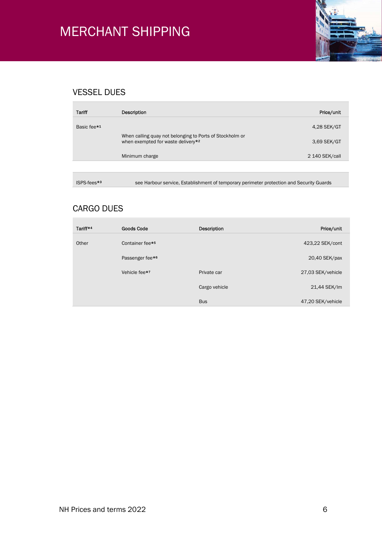

### VESSEL DUES

| Tariff                  | Description                                                                                    | Price/unit     |
|-------------------------|------------------------------------------------------------------------------------------------|----------------|
| Basic fee* <sup>1</sup> |                                                                                                | 4,28 SEK/GT    |
|                         | When calling quay not belonging to Ports of Stockholm or<br>when exempted for waste delivery*2 | 3,69 SEK/GT    |
|                         | Minimum charge                                                                                 | 2 140 SEK/call |
|                         |                                                                                                |                |
|                         |                                                                                                |                |

ISPS-fees\*<sup>3</sup> see Harbour service, Establishment of temporary perimeter protection and Security Guards

#### CARGO DUES

| Tariff*4 | <b>Goods Code</b>           | Description   | Price/unit        |
|----------|-----------------------------|---------------|-------------------|
| Other    | Container fee* <sup>5</sup> |               | 423,22 SEK/cont   |
|          | Passenger fee* <sup>6</sup> |               | 20,40 SEK/pax     |
|          | Vehicle fee* <sup>7</sup>   | Private car   | 27,03 SEK/vehicle |
|          |                             | Cargo vehicle | 21,44 SEK/lm      |
|          |                             | <b>Bus</b>    | 47,20 SEK/vehicle |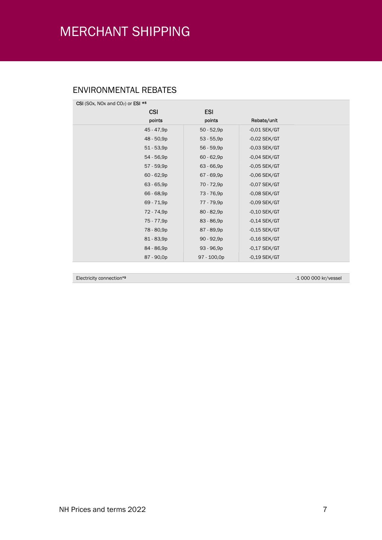#### ENVIRONMENTAL REBATES

| CSI (SOx, NOx and CO <sub>2</sub> ) or ESI $*$ <sup>8</sup> |              |                |  |
|-------------------------------------------------------------|--------------|----------------|--|
| <b>CSI</b>                                                  | <b>ESI</b>   |                |  |
| points                                                      | points       | Rebate/unit    |  |
| 45 - 47,9p                                                  | $50 - 52,9p$ | $-0.01$ SEK/GT |  |
| 48 - 50,9p                                                  | $53 - 55,9p$ | $-0.02$ SEK/GT |  |
| $51 - 53,9p$                                                | $56 - 59,9p$ | $-0.03$ SEK/GT |  |
| $54 - 56,9p$                                                | $60 - 62,9p$ | $-0.04$ SEK/GT |  |
| 57 - 59,9p                                                  | $63 - 66,9p$ | $-0.05$ SEK/GT |  |
| $60 - 62,9p$                                                | 67 - 69,9p   | $-0,06$ SEK/GT |  |
| $63 - 65,9p$                                                | 70 - 72,9p   | $-0.07$ SEK/GT |  |
| 66 - 68,9p                                                  | 73 - 76,9p   | $-0,08$ SEK/GT |  |
| 69 - 71,9p                                                  | 77 - 79,9p   | $-0,09$ SEK/GT |  |
| 72 - 74,9p                                                  | $80 - 82,9p$ | $-0,10$ SEK/GT |  |
| 75 - 77,9p                                                  | $83 - 86,9p$ | $-0,14$ SEK/GT |  |
| 78 - 80,9p                                                  | 87 - 89,9p   | $-0,15$ SEK/GT |  |
| 81 - 83,9p                                                  | $90 - 92,9p$ | $-0,16$ SEK/GT |  |
| 84 - 86,9p                                                  | $93 - 96,9p$ | $-0,17$ SEK/GT |  |
| 87 - 90,0p                                                  | 97 - 100,0p  | $-0,19$ SEK/GT |  |

Electricity connection\*9 -1 000 000 kr/vessel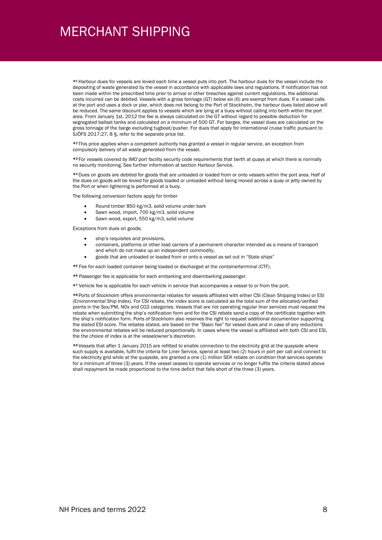\*<sup>1</sup> Harbour dues for vessels are levied each time a vessel puts into port. The harbour dues for the vessel include the depositing of waste generated by the vessel in accordance with applicable laws and regulations. If notification has not been made within the prescribed time prior to arrival or other breaches against current regulations, the additional costs incurred can be debited. Vessels with a gross tonnage (GT) below six (6) are exempt from dues. If a vessel calls at the port and uses a dock or pier, which does not belong to the Port of Stockholm, the harbour dues listed above will be reduced. The same discount applies to vessels which are lying at a buoy without calling into berth within the port area. From January 1st, 2012 the fee is always calculated on the GT without regard to possible deduction for segregated ballast tanks and calculated on a minimum of 500 GT. For barges, the vessel dues are calculated on the gross tonnage of the barge excluding tugboat/pusher. For dues that apply for international cruise traffic pursuant to SJÖFS 2017:27, 8 §, refer to the separate price list.

\*<sup>2</sup> This price applies when a competent authority has granted a vessel in regular service, an exception from compulsory delivery of all waste generated from the vessel.

\*<sup>3</sup> For vessels covered by IMO port facility security code requirements that berth at quays at which there is normally no security monitoring. See further information at section Harbour Service.

\*<sup>4</sup> Dues on goods are debited for goods that are unloaded or loaded from or onto vessels within the port area. Half of the dues on goods will be levied for goods loaded or unloaded without being moved across a quay or jetty owned by the Port or when lightering is performed at a buoy.

The following conversion factors apply for timber

- Round timber 850 kg/m3, solid volume under bark
- Sawn wood, import, 700 kg/m3, solid volume
- Sawn wood, export, 550 kg/m3, solid volume

Exceptions from dues on goods;

- ship's requisites and provisions,
- containers, platforms or other load carriers of a permanent character intended as a means of transport and which do not make up an independent commodity,
- goods that are unloaded or loaded from or onto a vessel as set out in "State ships"

\*5 Fee for each loaded container being loaded or discharged at the containerterminal (CTF).

\*6 Passenger fee is applicable for each embarking and disembarking passenger.

\*7 Vehicle fee is applicable for each vehicle in service that accompanies a vessel to or from the port.

\*<sup>8</sup> Ports of Stockholm offers environmental rebates for vessels affiliated with either CSI (Clean Shipping Index) or ESI (Environmental Ship Index). For CSI rebate, the index score is calculated as the total sum of the allocated/verified points in the Sox/PM, NOx and CO2 categories. Vessels that are not operating regular liner services must request the rebate when submitting the ship's notification form and for the CSI rebate send a copy of the certificate together with the ship's notification form. Ports of Stockholm also reserves the right to request additional documention supporting the stated ESI score. The rebates stated, are based on the "Basic fee" for vessel dues and in case of any reductions the environmental rebates will be reduced proportionally. In cases where the vessel is affiliated with both CSI and ESI, the the choice of index is at the vesselowner's discretion.

\*<sup>9</sup> Vessels that after 1 January 2015 are refitted to enable connection to the electricity grid at the quayside where such supply is available, fulfil the criteria for Liner Service, spend at least two (2) hours in port per call and connect to the electricity grid while at the quayside, are granted a one (1) million SEK rebate on condition that services operate for a minimum of three (3) years. If the vessel ceases to operate services or no longer fulfils the criteria stated above shall repayment be made proportional to the time deficit that falls short of the three (3) years.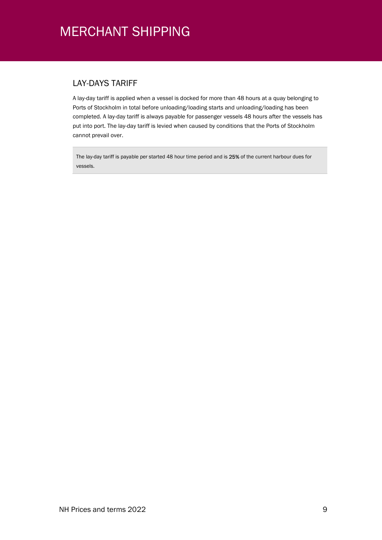#### LAY-DAYS TARIFF

A lay-day tariff is applied when a vessel is docked for more than 48 hours at a quay belonging to Ports of Stockholm in total before unloading/loading starts and unloading/loading has been completed. A lay-day tariff is always payable for passenger vessels 48 hours after the vessels has put into port. The lay-day tariff is levied when caused by conditions that the Ports of Stockholm cannot prevail over.

The lay-day tariff is payable per started 48 hour time period and is 25% of the current harbour dues for vessels.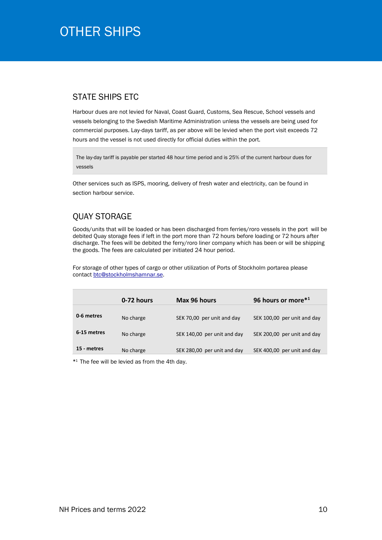### OTHER SHIPS **SHIPS**

#### STATE SHIPS ETC

Harbour dues are not levied for Naval, Coast Guard, Customs, Sea Rescue, School vessels and vessels belonging to the Swedish Maritime Administration unless the vessels are being used for commercial purposes. Lay-days tariff, as per above will be levied when the port visit exceeds 72 hours and the vessel is not used directly for official duties within the port.

The lay-day tariff is payable per started 48 hour time period and is 25% of the current harbour dues for vessels

Other services such as ISPS, mooring, delivery of fresh water and electricity, can be found in section harbour service.

#### QUAY STORAGE

Goods/units that will be loaded or has been discharged from ferries/roro vessels in the port will be debited Quay storage fees if left in the port more than 72 hours before loading or 72 hours after discharge. The fees will be debited the ferry/roro liner company which has been or will be shipping the goods. The fees are calculated per initiated 24 hour period.

For storage of other types of cargo or other utilization of Ports of Stockholm portarea please contact btc@stockholmshamnar.se.

|             | 0-72 hours | Max 96 hours                | 96 hours or more*1          |
|-------------|------------|-----------------------------|-----------------------------|
| 0-6 metres  | No charge  | SEK 70,00 per unit and day  | SEK 100,00 per unit and day |
| 6-15 metres | No charge  | SEK 140,00 per unit and day | SEK 200,00 per unit and day |
| 15 - metres | No charge  | SEK 280,00 per unit and day | SEK 400,00 per unit and day |

\* <sup>1</sup> The fee will be levied as from the 4th day.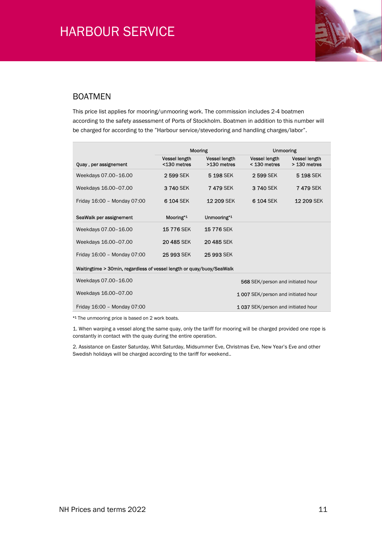

#### BOATMEN

This price list applies for mooring/unmooring work. The commission includes 2-4 boatmen according to the safety assessment of Ports of Stockholm. Boatmen in addition to this number will be charged for according to the "Harbour service/stevedoring and handling charges/labor".

|                                                                       | <b>Mooring</b>               |                                     |                                      | <b>Unmooring</b>                     |  |
|-----------------------------------------------------------------------|------------------------------|-------------------------------------|--------------------------------------|--------------------------------------|--|
| Quay, per assignement                                                 | Vessel length<br><130 metres | <b>Vessel length</b><br>>130 metres | <b>Vessel length</b><br>< 130 metres | <b>Vessel length</b><br>> 130 metres |  |
| Weekdays 07.00-16.00                                                  | 2599 SEK                     | 5 198 SEK                           | 2599 SEK                             | 5 198 SEK                            |  |
| Weekdays 16.00-07.00                                                  | 3740 SEK                     | 7479 SEK                            | 3 740 SEK                            | <b>7 479 SEK</b>                     |  |
| Friday 16:00 - Monday 07:00                                           | 6 104 SEK                    | <b>12 209 SEK</b>                   | 6 104 SEK                            | 12 209 SEK                           |  |
| SeaWalk per assignement                                               | Mooring <sup>*1</sup>        | Unmooring*1                         |                                      |                                      |  |
| Weekdays 07.00-16.00                                                  | <b>15776 SEK</b>             | <b>15776 SEK</b>                    |                                      |                                      |  |
| Weekdays 16.00-07.00                                                  | 20 485 SEK                   | 20 485 SEK                          |                                      |                                      |  |
| Friday 16:00 - Monday 07:00                                           | 25 993 SEK                   | 25 993 SEK                          |                                      |                                      |  |
| Waitingtime > 30min, regardless of vessel length or quay/buoy/SeaWalk |                              |                                     |                                      |                                      |  |
| Weekdays 07.00-16.00                                                  |                              |                                     | 568 SEK/person and initiated hour    |                                      |  |
| Weekdays 16.00-07.00                                                  |                              |                                     | 1 007 SEK/person and initiated hour  |                                      |  |
| Friday 16:00 - Monday 07:00                                           |                              |                                     | 1037 SEK/person and initiated hour   |                                      |  |

\*1 The unmooring price is based on 2 work boats.

1. When warping a vessel along the same quay, only the tariff for mooring will be charged provided one rope is constantly in contact with the quay during the entire operation.

2. Assistance on Easter Saturday, Whit Saturday, Midsummer Eve, Christmas Eve, New Year's Eve and other Swedish holidays will be charged according to the tariff for weekend..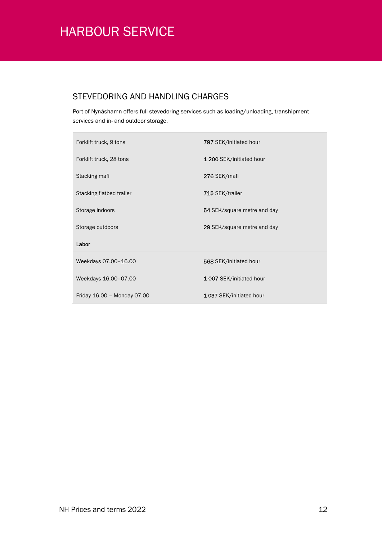### STEVEDORING AND HANDLING CHARGES

Port of Nynäshamn offers full stevedoring services such as loading/unloading, transhipment services and in- and outdoor storage.

| Forklift truck, 9 tons      | 797 SEK/initiated hour      |
|-----------------------------|-----------------------------|
| Forklift truck, 28 tons     | 1 200 SEK/initiated hour    |
| Stacking mafi               | 276 SEK/mafi                |
| Stacking flatbed trailer    | 715 SEK/trailer             |
| Storage indoors             | 54 SEK/square metre and day |
| Storage outdoors            | 29 SEK/square metre and day |
| Labor                       |                             |
| Weekdays 07.00-16.00        | 568 SEK/initiated hour      |
| Weekdays 16.00-07.00        | 1007 SEK/initiated hour     |
| Friday 16.00 - Monday 07.00 | 1037 SEK/initiated hour     |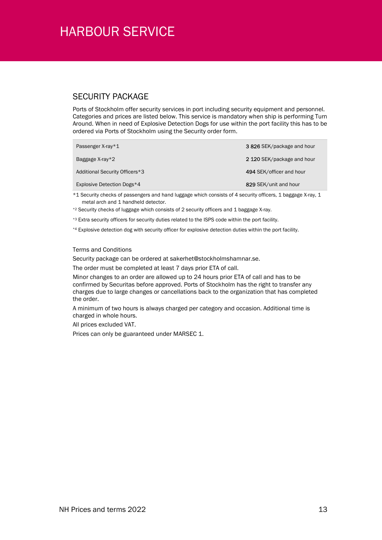#### SECURITY PACKAGE

Ports of Stockholm offer security services in port including security equipment and personnel. Categories and prices are listed below. This service is mandatory when ship is performing Turn Around. When in need of Explosive Detection Dogs for use within the port facility this has to be ordered via Ports of Stockholm using the Security order form.

| Passenger X-ray*1              | 3826 SEK/package and hour  |
|--------------------------------|----------------------------|
| Baggage $X-ray*2$              | 2 120 SEK/package and hour |
| Additional Security Officers*3 | 494 SEK/officer and hour   |
| Explosive Detection Dogs*4     | 829 SEK/unit and hour      |

\*1 Security checks of passengers and hand luggage which consists of 4 security officers, 1 baggage X-ray, 1 metal arch and 1 handheld detector.

\*2 Security checks of luggage which consists of 2 security officers and 1 baggage X-ray.

\*<sup>3</sup> Extra security officers for security duties related to the ISPS code within the port facility.

\*4 Explosive detection dog with security officer for explosive detection duties within the port facility.

#### Terms and Conditions

Security package can be ordered at sakerhet@stockholmshamnar.se.

The order must be completed at least 7 days prior ETA of call.

Minor changes to an order are allowed up to 24 hours prior ETA of call and has to be confirmed by Securitas before approved. Ports of Stockholm has the right to transfer any charges due to large changes or cancellations back to the organization that has completed the order.

A minimum of two hours is always charged per category and occasion. Additional time is charged in whole hours.

All prices excluded VAT.

Prices can only be guaranteed under MARSEC 1.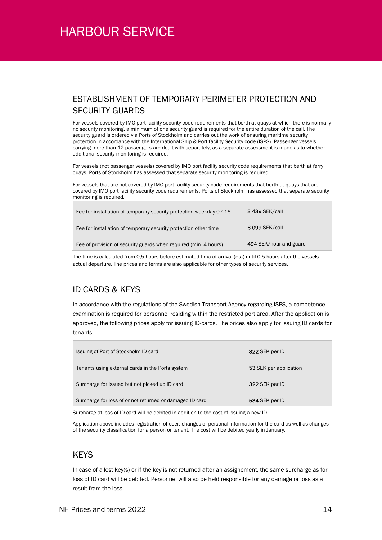#### ESTABLISHMENT OF TEMPORARY PERIMETER PROTECTION AND SECURITY GUARDS

For vessels covered by IMO port facility security code requirements that berth at quays at which there is normally no security monitoring, a minimum of one security guard is required for the entire duration of the call. The security guard is ordered via Ports of Stockholm and carries out the work of ensuring maritime security protection in accordance with the International Ship & Port facility Security code (ISPS). Passenger vessels carrying more than 12 passengers are dealt with separately, as a separate assessment is made as to whether additional security monitoring is required.

For vessels (not passenger vessels) covered by IMO port facility security code requirements that berth at ferry quays, Ports of Stockholm has assessed that separate security monitoring is required.

For vessels that are not covered by IMO port facility security code requirements that berth at quays that are covered by IMO port facility security code requirements, Ports of Stockholm has assessed that separate security monitoring is required.

| Fee for installation of temporary security protection weekday 07-16 | <b>3 439 SEK/call</b>  |
|---------------------------------------------------------------------|------------------------|
| Fee for installation of temporary security protection other time    | 6 099 SEK/call         |
| Fee of provision of security guards when required (min. 4 hours)    | 494 SEK/hour and guard |
|                                                                     |                        |

The time is calculated from 0,5 hours before estimated tima of arrival (eta) until 0,5 hours after the vessels actual departure. The prices and terms are also applicable for other types of security services.

#### ID CARDS & KEYS

In accordance with the regulations of the Swedish Transport Agency regarding ISPS, a competence examination is required for personnel residing within the restricted port area. After the application is approved, the following prices apply for issuing ID-cards. The prices also apply for issuing ID cards for tenants.

| Issuing of Port of Stockholm ID card                     | 322 SEK per ID         |
|----------------------------------------------------------|------------------------|
| Tenants using external cards in the Ports system         | 53 SEK per application |
| Surcharge for issued but not picked up ID card           | 322 SEK per ID         |
| Surcharge for loss of or not returned or damaged ID card | 534 SEK per ID         |

Surcharge at loss of ID card will be debited in addition to the cost of issuing a new ID.

Application above includes registration of user, changes of personal information for the card as well as changes of the security classification for a person or tenant. The cost will be debited yearly in January.

#### **KEYS**

In case of a lost key(s) or if the key is not returned after an assignement, the same surcharge as for loss of ID card will be debited. Personnel will also be held responsible for any damage or loss as a result fram the loss.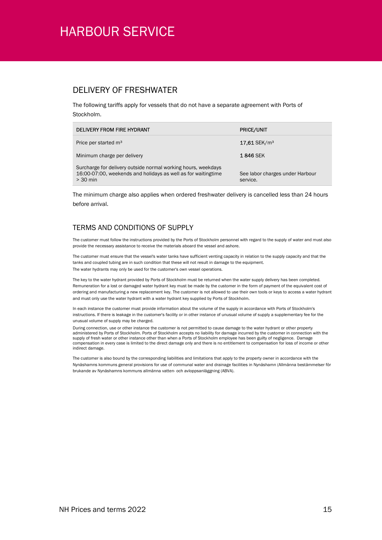#### DELIVERY OF FRESHWATER

The following tariffs apply for vessels that do not have a separate agreement with Ports of Stockholm.

| DELIVERY FROM FIRE HYDRANT                                                                                                                   | <b>PRICE/UNIT</b>                           |
|----------------------------------------------------------------------------------------------------------------------------------------------|---------------------------------------------|
| Price per started m <sup>3</sup>                                                                                                             | $17.61$ SEK/m <sup>3</sup>                  |
| Minimum charge per delivery                                                                                                                  | <b>1846 SEK</b>                             |
| Surcharge for delivery outside normal working hours, weekdays<br>16:00-07:00, weekends and holidays as well as for waitingtime<br>$> 30$ min | See labor charges under Harbour<br>service. |

The minimum charge also applies when ordered freshwater delivery is cancelled less than 24 hours before arrival.

#### TERMS AND CONDITIONS OF SUPPLY

The customer must follow the instructions provided by the Ports of Stockholm personnel with regard to the supply of water and must also provide the necessary assistance to receive the materials aboard the vessel and ashore.

The customer must ensure that the vessel's water tanks have sufficient venting capacity in relation to the supply capacity and that the tanks and coupled tubing are in such condition that these will not result in damage to the equipment. The water hydrants may only be used for the customer's own vessel operations.

The key to the water hydrant provided by Ports of Stockholm must be returned when the water supply delivery has been completed. Remuneration for a lost or damaged water hydrant key must be made by the customer in the form of payment of the equivalent cost of ordering and manufacturing a new replacement key. The customer is not allowed to use their own tools or keys to access a water hydrant and must only use the water hydrant with a water hydrant key supplied by Ports of Stockholm.

In each instance the customer must provide information about the volume of the supply in accordance with Ports of Stockholm's instructions. If there is leakage in the customer's facility or in other instance of unusual volume of supply a supplementary fee for the unusual volume of supply may be charged.

During connection, use or other instance the customer is not permitted to cause damage to the water hydrant or other property administered by Ports of Stockholm. Ports of Stockholm accepts no liability for damage incurred by the customer in connection with the supply of fresh water or other instance other than when a Ports of Stockholm employee has been guilty of negligence. Damage compensation in every case is limited to the direct damage only and there is no entitlement to compensation for loss of income or other indirect damage.

The customer is also bound by the corresponding liabilities and limitations that apply to the property owner in accordance with the Nynäshamns kommuns general provisions for use of communal water and drainage facilities in Nynäshamn (Allmänna bestämmelser för brukande av Nynäshamns kommuns allmänna vatten- och avloppsanläggning (ABVA).